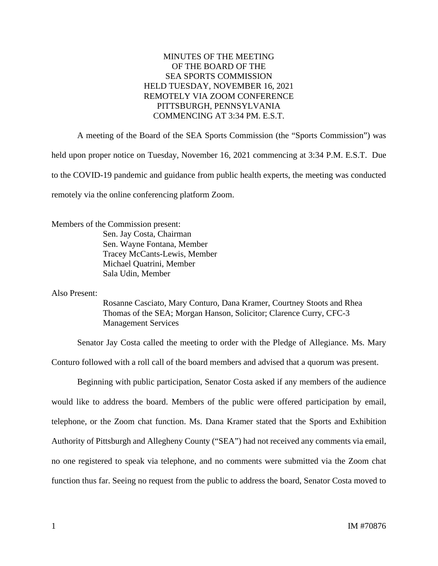## MINUTES OF THE MEETING OF THE BOARD OF THE SEA SPORTS COMMISSION HELD TUESDAY, NOVEMBER 16, 2021 REMOTELY VIA ZOOM CONFERENCE PITTSBURGH, PENNSYLVANIA COMMENCING AT 3:34 PM. E.S.T.

A meeting of the Board of the SEA Sports Commission (the "Sports Commission") was held upon proper notice on Tuesday, November 16, 2021 commencing at 3:34 P.M. E.S.T. Due to the COVID-19 pandemic and guidance from public health experts, the meeting was conducted remotely via the online conferencing platform Zoom.

Members of the Commission present:

Sen. Jay Costa, Chairman Sen. Wayne Fontana, Member Tracey McCants-Lewis, Member Michael Quatrini, Member Sala Udin, Member

Also Present:

Rosanne Casciato, Mary Conturo, Dana Kramer, Courtney Stoots and Rhea Thomas of the SEA; Morgan Hanson, Solicitor; Clarence Curry, CFC-3 Management Services

Senator Jay Costa called the meeting to order with the Pledge of Allegiance. Ms. Mary

Conturo followed with a roll call of the board members and advised that a quorum was present.

Beginning with public participation, Senator Costa asked if any members of the audience would like to address the board. Members of the public were offered participation by email, telephone, or the Zoom chat function. Ms. Dana Kramer stated that the Sports and Exhibition Authority of Pittsburgh and Allegheny County ("SEA") had not received any comments via email, no one registered to speak via telephone, and no comments were submitted via the Zoom chat function thus far. Seeing no request from the public to address the board, Senator Costa moved to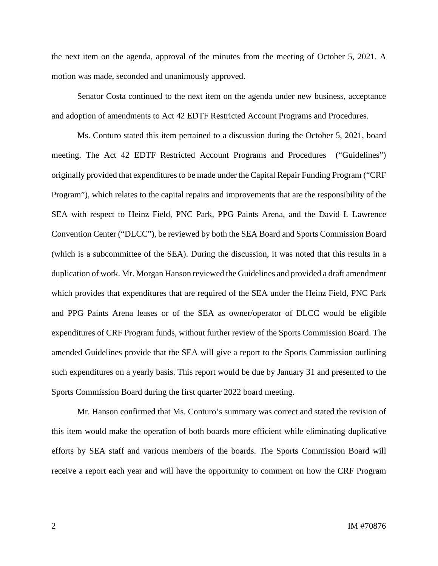the next item on the agenda, approval of the minutes from the meeting of October 5, 2021. A motion was made, seconded and unanimously approved.

Senator Costa continued to the next item on the agenda under new business, acceptance and adoption of amendments to Act 42 EDTF Restricted Account Programs and Procedures.

Ms. Conturo stated this item pertained to a discussion during the October 5, 2021, board meeting. The Act 42 EDTF Restricted Account Programs and Procedures ("Guidelines") originally provided that expenditures to be made under the Capital Repair Funding Program ("CRF Program"), which relates to the capital repairs and improvements that are the responsibility of the SEA with respect to Heinz Field, PNC Park, PPG Paints Arena, and the David L Lawrence Convention Center ("DLCC"), be reviewed by both the SEA Board and Sports Commission Board (which is a subcommittee of the SEA). During the discussion, it was noted that this results in a duplication of work. Mr. Morgan Hanson reviewed the Guidelines and provided a draft amendment which provides that expenditures that are required of the SEA under the Heinz Field, PNC Park and PPG Paints Arena leases or of the SEA as owner/operator of DLCC would be eligible expenditures of CRF Program funds, without further review of the Sports Commission Board. The amended Guidelines provide that the SEA will give a report to the Sports Commission outlining such expenditures on a yearly basis. This report would be due by January 31 and presented to the Sports Commission Board during the first quarter 2022 board meeting.

Mr. Hanson confirmed that Ms. Conturo's summary was correct and stated the revision of this item would make the operation of both boards more efficient while eliminating duplicative efforts by SEA staff and various members of the boards. The Sports Commission Board will receive a report each year and will have the opportunity to comment on how the CRF Program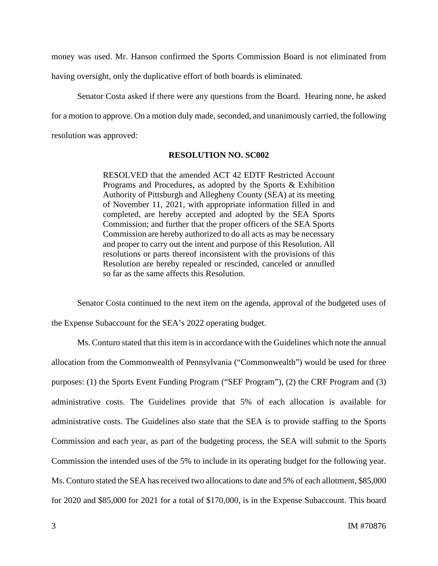money was used. Mr. Hanson confirmed the Sports Commission Board is not eliminated from

having oversight, only the duplicative effort of both boards is eliminated.

Senator Costa asked if there were any questions from the Board. Hearing none, he asked for a motion to approve. On a motion duly made, seconded, and unanimously carried, the following resolution was approved:

## **RESOLUTION NO. SC002**

RESOLVED that the amended ACT 42 EDTF Restricted Account Programs and Procedures, as adopted by the Sports & Exhibition Authority of Pittsburgh and Allegheny County (SEA) at its meeting of November 11, 2021, with appropriate information filled in and completed, are hereby accepted and adopted by the SEA Sports Commission; and further that the proper officers of the SEA Sports Commission are hereby authorized to do all acts as may be necessary and proper to carry out the intent and purpose of this Resolution. All resolutions or parts thereof inconsistent with the provisions of this Resolution are hereby repealed or rescinded, canceled or annulled so far as the same affects this Resolution.

Senator Costa continued to the next item on the agenda, approval of the budgeted uses of the Expense Subaccount for the SEA's 2022 operating budget.

Ms. Conturo stated that this item is in accordance with the Guidelines which note the annual allocation from the Commonwealth of Pennsylvania ("Commonwealth") would be used for three purposes: (1) the Sports Event Funding Program ("SEF Program"), (2) the CRF Program and (3) administrative costs. The Guidelines provide that 5% of each allocation is available for administrative costs. The Guidelines also state that the SEA is to provide staffing to the Sports Commission and each year, as part of the budgeting process, the SEA will submit to the Sports Commission the intended uses of the 5% to include in its operating budget for the following year. Ms. Conturo stated the SEA has received two allocations to date and 5% of each allotment, \$85,000 for 2020 and \$85,000 for 2021 for a total of \$170,000, is in the Expense Subaccount. This board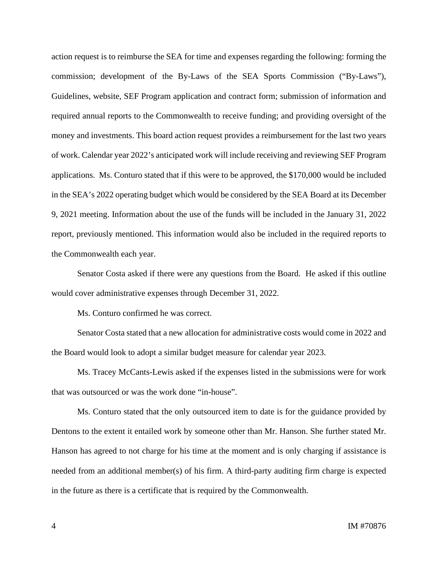action request is to reimburse the SEA for time and expenses regarding the following: forming the commission; development of the By-Laws of the SEA Sports Commission ("By-Laws"), Guidelines, website, SEF Program application and contract form; submission of information and required annual reports to the Commonwealth to receive funding; and providing oversight of the money and investments. This board action request provides a reimbursement for the last two years of work. Calendar year 2022's anticipated work will include receiving and reviewing SEF Program applications. Ms. Conturo stated that if this were to be approved, the \$170,000 would be included in the SEA's 2022 operating budget which would be considered by the SEA Board at its December 9, 2021 meeting. Information about the use of the funds will be included in the January 31, 2022 report, previously mentioned. This information would also be included in the required reports to the Commonwealth each year.

Senator Costa asked if there were any questions from the Board. He asked if this outline would cover administrative expenses through December 31, 2022.

Ms. Conturo confirmed he was correct.

Senator Costa stated that a new allocation for administrative costs would come in 2022 and the Board would look to adopt a similar budget measure for calendar year 2023.

Ms. Tracey McCants-Lewis asked if the expenses listed in the submissions were for work that was outsourced or was the work done "in-house".

Ms. Conturo stated that the only outsourced item to date is for the guidance provided by Dentons to the extent it entailed work by someone other than Mr. Hanson. She further stated Mr. Hanson has agreed to not charge for his time at the moment and is only charging if assistance is needed from an additional member(s) of his firm. A third-party auditing firm charge is expected in the future as there is a certificate that is required by the Commonwealth.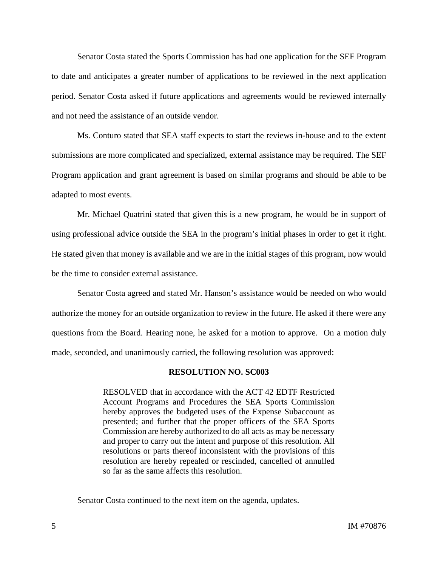Senator Costa stated the Sports Commission has had one application for the SEF Program to date and anticipates a greater number of applications to be reviewed in the next application period. Senator Costa asked if future applications and agreements would be reviewed internally and not need the assistance of an outside vendor.

Ms. Conturo stated that SEA staff expects to start the reviews in-house and to the extent submissions are more complicated and specialized, external assistance may be required. The SEF Program application and grant agreement is based on similar programs and should be able to be adapted to most events.

Mr. Michael Quatrini stated that given this is a new program, he would be in support of using professional advice outside the SEA in the program's initial phases in order to get it right. He stated given that money is available and we are in the initial stages of this program, now would be the time to consider external assistance.

Senator Costa agreed and stated Mr. Hanson's assistance would be needed on who would authorize the money for an outside organization to review in the future. He asked if there were any questions from the Board. Hearing none, he asked for a motion to approve. On a motion duly made, seconded, and unanimously carried, the following resolution was approved:

## **RESOLUTION NO. SC003**

RESOLVED that in accordance with the ACT 42 EDTF Restricted Account Programs and Procedures the SEA Sports Commission hereby approves the budgeted uses of the Expense Subaccount as presented; and further that the proper officers of the SEA Sports Commission are hereby authorized to do all acts as may be necessary and proper to carry out the intent and purpose of this resolution. All resolutions or parts thereof inconsistent with the provisions of this resolution are hereby repealed or rescinded, cancelled of annulled so far as the same affects this resolution.

Senator Costa continued to the next item on the agenda, updates.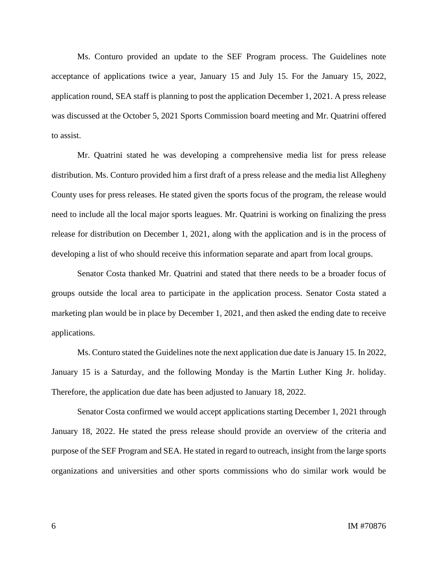Ms. Conturo provided an update to the SEF Program process. The Guidelines note acceptance of applications twice a year, January 15 and July 15. For the January 15, 2022, application round, SEA staff is planning to post the application December 1, 2021. A press release was discussed at the October 5, 2021 Sports Commission board meeting and Mr. Quatrini offered to assist.

Mr. Quatrini stated he was developing a comprehensive media list for press release distribution. Ms. Conturo provided him a first draft of a press release and the media list Allegheny County uses for press releases. He stated given the sports focus of the program, the release would need to include all the local major sports leagues. Mr. Quatrini is working on finalizing the press release for distribution on December 1, 2021, along with the application and is in the process of developing a list of who should receive this information separate and apart from local groups.

Senator Costa thanked Mr. Quatrini and stated that there needs to be a broader focus of groups outside the local area to participate in the application process. Senator Costa stated a marketing plan would be in place by December 1, 2021, and then asked the ending date to receive applications.

Ms. Conturo stated the Guidelines note the next application due date is January 15. In 2022, January 15 is a Saturday, and the following Monday is the Martin Luther King Jr. holiday. Therefore, the application due date has been adjusted to January 18, 2022.

Senator Costa confirmed we would accept applications starting December 1, 2021 through January 18, 2022. He stated the press release should provide an overview of the criteria and purpose of the SEF Program and SEA. He stated in regard to outreach, insight from the large sports organizations and universities and other sports commissions who do similar work would be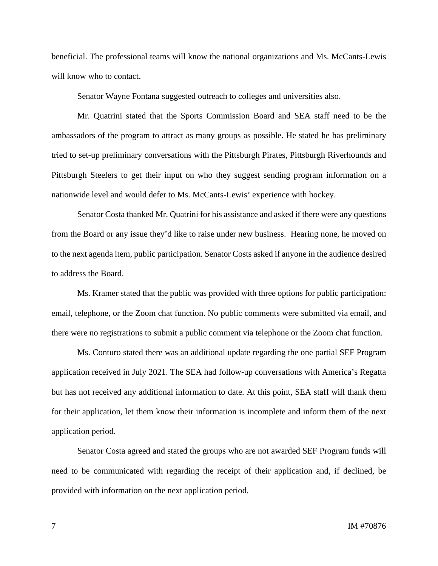beneficial. The professional teams will know the national organizations and Ms. McCants-Lewis will know who to contact.

Senator Wayne Fontana suggested outreach to colleges and universities also.

Mr. Quatrini stated that the Sports Commission Board and SEA staff need to be the ambassadors of the program to attract as many groups as possible. He stated he has preliminary tried to set-up preliminary conversations with the Pittsburgh Pirates, Pittsburgh Riverhounds and Pittsburgh Steelers to get their input on who they suggest sending program information on a nationwide level and would defer to Ms. McCants-Lewis' experience with hockey.

Senator Costa thanked Mr. Quatrini for his assistance and asked if there were any questions from the Board or any issue they'd like to raise under new business. Hearing none, he moved on to the next agenda item, public participation. Senator Costs asked if anyone in the audience desired to address the Board.

Ms. Kramer stated that the public was provided with three options for public participation: email, telephone, or the Zoom chat function. No public comments were submitted via email, and there were no registrations to submit a public comment via telephone or the Zoom chat function.

Ms. Conturo stated there was an additional update regarding the one partial SEF Program application received in July 2021. The SEA had follow-up conversations with America's Regatta but has not received any additional information to date. At this point, SEA staff will thank them for their application, let them know their information is incomplete and inform them of the next application period.

Senator Costa agreed and stated the groups who are not awarded SEF Program funds will need to be communicated with regarding the receipt of their application and, if declined, be provided with information on the next application period.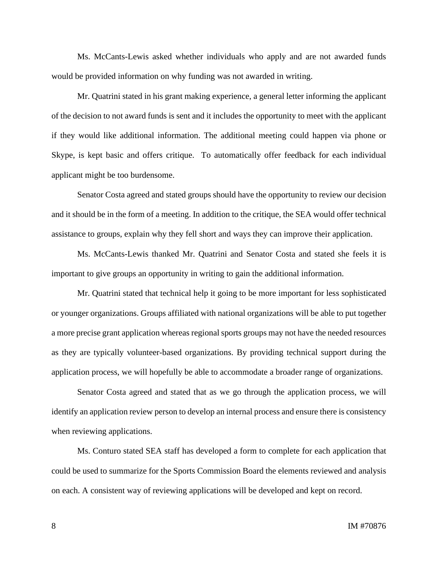Ms. McCants-Lewis asked whether individuals who apply and are not awarded funds would be provided information on why funding was not awarded in writing.

Mr. Quatrini stated in his grant making experience, a general letter informing the applicant of the decision to not award funds is sent and it includes the opportunity to meet with the applicant if they would like additional information. The additional meeting could happen via phone or Skype, is kept basic and offers critique. To automatically offer feedback for each individual applicant might be too burdensome.

Senator Costa agreed and stated groups should have the opportunity to review our decision and it should be in the form of a meeting. In addition to the critique, the SEA would offer technical assistance to groups, explain why they fell short and ways they can improve their application.

Ms. McCants-Lewis thanked Mr. Quatrini and Senator Costa and stated she feels it is important to give groups an opportunity in writing to gain the additional information.

Mr. Quatrini stated that technical help it going to be more important for less sophisticated or younger organizations. Groups affiliated with national organizations will be able to put together a more precise grant application whereas regional sports groups may not have the needed resources as they are typically volunteer-based organizations. By providing technical support during the application process, we will hopefully be able to accommodate a broader range of organizations.

Senator Costa agreed and stated that as we go through the application process, we will identify an application review person to develop an internal process and ensure there is consistency when reviewing applications.

Ms. Conturo stated SEA staff has developed a form to complete for each application that could be used to summarize for the Sports Commission Board the elements reviewed and analysis on each. A consistent way of reviewing applications will be developed and kept on record.